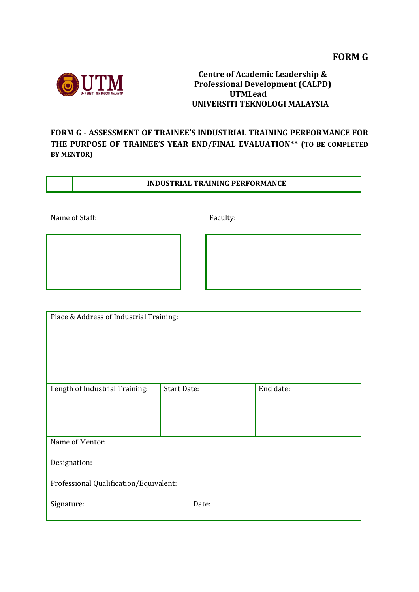

## **Centre of Academic Leadership & Professional Development (CALPD) UTMLead UNIVERSITI TEKNOLOGI MALAYSIA**

## **FORM G - ASSESSMENT OF TRAINEE'S INDUSTRIAL TRAINING PERFORMANCE FOR THE PURPOSE OF TRAINEE'S YEAR END/FINAL EVALUATION\*\* (TO BE COMPLETED BY MENTOR)**

## **INDUSTRIAL TRAINING PERFORMANCE**

Name of Staff: Faculty:

| Place & Address of Industrial Training: |                    |           |  |  |
|-----------------------------------------|--------------------|-----------|--|--|
|                                         |                    |           |  |  |
| Length of Industrial Training:          | <b>Start Date:</b> | End date: |  |  |
|                                         |                    |           |  |  |
|                                         |                    |           |  |  |
|                                         |                    |           |  |  |
| Name of Mentor:                         |                    |           |  |  |
|                                         |                    |           |  |  |
| Designation:                            |                    |           |  |  |
| Professional Qualification/Equivalent:  |                    |           |  |  |
|                                         |                    |           |  |  |
| Signature:                              | Date:              |           |  |  |
|                                         |                    |           |  |  |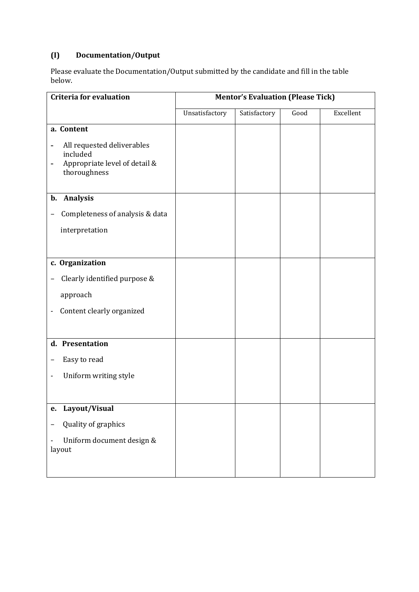# **(I) Documentation/Output**

Please evaluate the Documentation/Output submitted by the candidate and fill in the table below.

| <b>Criteria for evaluation</b>                                                                                           | <b>Mentor's Evaluation (Please Tick)</b> |              |      |           |
|--------------------------------------------------------------------------------------------------------------------------|------------------------------------------|--------------|------|-----------|
|                                                                                                                          | Unsatisfactory                           | Satisfactory | Good | Excellent |
| a. Content                                                                                                               |                                          |              |      |           |
| All requested deliverables<br>-<br>included<br>Appropriate level of detail &<br>$\overline{\phantom{0}}$<br>thoroughness |                                          |              |      |           |
| b. Analysis                                                                                                              |                                          |              |      |           |
| Completeness of analysis & data<br>-                                                                                     |                                          |              |      |           |
| interpretation                                                                                                           |                                          |              |      |           |
|                                                                                                                          |                                          |              |      |           |
| c. Organization                                                                                                          |                                          |              |      |           |
| Clearly identified purpose &<br>-                                                                                        |                                          |              |      |           |
| approach                                                                                                                 |                                          |              |      |           |
| Content clearly organized<br>$\qquad \qquad \blacksquare$                                                                |                                          |              |      |           |
|                                                                                                                          |                                          |              |      |           |
| d. Presentation                                                                                                          |                                          |              |      |           |
| Easy to read                                                                                                             |                                          |              |      |           |
| Uniform writing style                                                                                                    |                                          |              |      |           |
|                                                                                                                          |                                          |              |      |           |
| Layout/Visual<br>e.                                                                                                      |                                          |              |      |           |
| Quality of graphics                                                                                                      |                                          |              |      |           |
| Uniform document design &<br>layout                                                                                      |                                          |              |      |           |
|                                                                                                                          |                                          |              |      |           |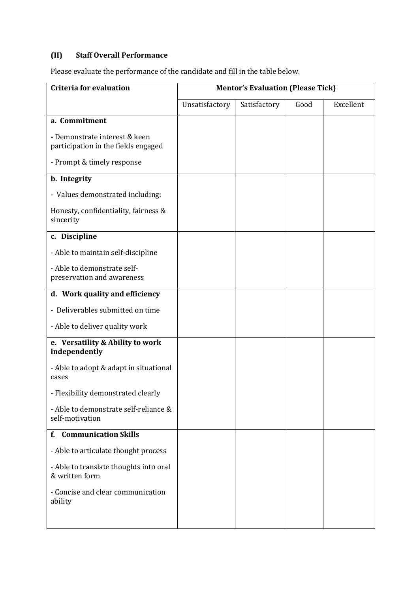## **(II) Staff Overall Performance**

Please evaluate the performance of the candidate and fill in the table below.

| <b>Criteria for evaluation</b>                                       | <b>Mentor's Evaluation (Please Tick)</b> |              |      |           |
|----------------------------------------------------------------------|------------------------------------------|--------------|------|-----------|
|                                                                      | Unsatisfactory                           | Satisfactory | Good | Excellent |
| a. Commitment                                                        |                                          |              |      |           |
| - Demonstrate interest & keen<br>participation in the fields engaged |                                          |              |      |           |
| - Prompt & timely response                                           |                                          |              |      |           |
| b. Integrity                                                         |                                          |              |      |           |
| - Values demonstrated including:                                     |                                          |              |      |           |
| Honesty, confidentiality, fairness &<br>sincerity                    |                                          |              |      |           |
| c. Discipline                                                        |                                          |              |      |           |
| - Able to maintain self-discipline                                   |                                          |              |      |           |
| - Able to demonstrate self-<br>preservation and awareness            |                                          |              |      |           |
| d. Work quality and efficiency                                       |                                          |              |      |           |
| - Deliverables submitted on time                                     |                                          |              |      |           |
| - Able to deliver quality work                                       |                                          |              |      |           |
| e. Versatility & Ability to work<br>independently                    |                                          |              |      |           |
| - Able to adopt & adapt in situational<br>cases                      |                                          |              |      |           |
| - Flexibility demonstrated clearly                                   |                                          |              |      |           |
| - Able to demonstrate self-reliance &<br>self-motivation             |                                          |              |      |           |
| f. Communication Skills                                              |                                          |              |      |           |
| - Able to articulate thought process                                 |                                          |              |      |           |
| - Able to translate thoughts into oral<br>& written form             |                                          |              |      |           |
| - Concise and clear communication<br>ability                         |                                          |              |      |           |
|                                                                      |                                          |              |      |           |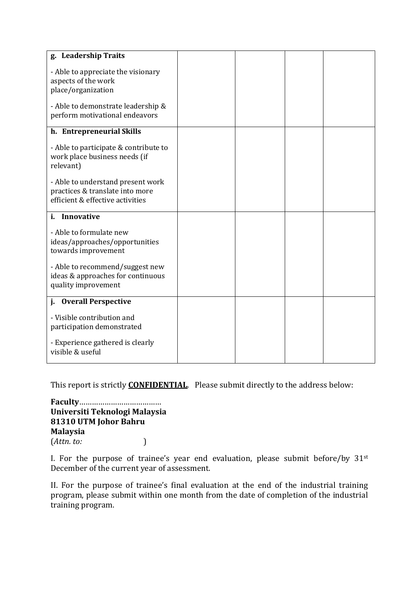| g. Leadership Traits                  |  |  |
|---------------------------------------|--|--|
|                                       |  |  |
| - Able to appreciate the visionary    |  |  |
| aspects of the work                   |  |  |
| place/organization                    |  |  |
|                                       |  |  |
| - Able to demonstrate leadership &    |  |  |
| perform motivational endeavors        |  |  |
|                                       |  |  |
| h. Entrepreneurial Skills             |  |  |
| - Able to participate & contribute to |  |  |
| work place business needs (if         |  |  |
| relevant)                             |  |  |
|                                       |  |  |
| - Able to understand present work     |  |  |
| practices & translate into more       |  |  |
| efficient & effective activities      |  |  |
| i. Innovative                         |  |  |
|                                       |  |  |
| - Able to formulate new               |  |  |
| ideas/approaches/opportunities        |  |  |
| towards improvement                   |  |  |
|                                       |  |  |
| - Able to recommend/suggest new       |  |  |
| ideas & approaches for continuous     |  |  |
| quality improvement                   |  |  |
| j. Overall Perspective                |  |  |
|                                       |  |  |
| - Visible contribution and            |  |  |
| participation demonstrated            |  |  |
|                                       |  |  |
| - Experience gathered is clearly      |  |  |
| visible & useful                      |  |  |
|                                       |  |  |

This report is strictly **CONFIDENTIAL**. Please submit directly to the address below:

**Faculty**………………………………… **Universiti Teknologi Malaysia 81310 UTM Johor Bahru Malaysia** (*Attn. to:* )

I. For the purpose of trainee's year end evaluation, please submit before/by 31st December of the current year of assessment.

II. For the purpose of trainee's final evaluation at the end of the industrial training program, please submit within one month from the date of completion of the industrial training program.